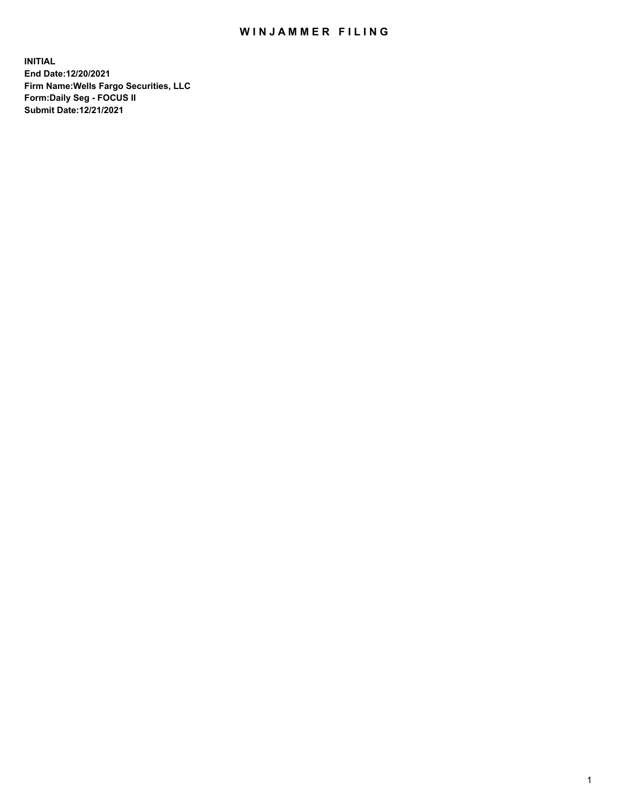## WIN JAMMER FILING

**INITIAL End Date:12/20/2021 Firm Name:Wells Fargo Securities, LLC Form:Daily Seg - FOCUS II Submit Date:12/21/2021**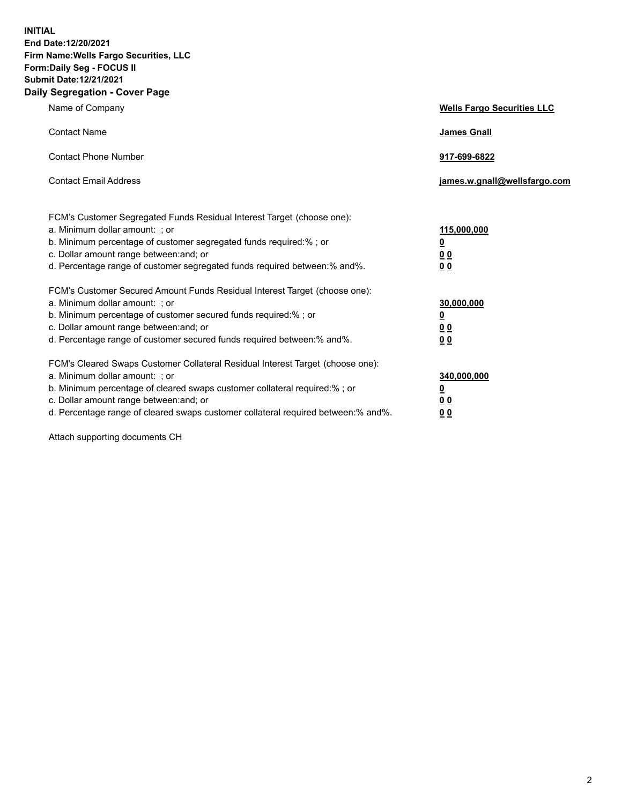**INITIAL End Date:12/20/2021 Firm Name:Wells Fargo Securities, LLC Form:Daily Seg - FOCUS II Submit Date:12/21/2021 Daily Segregation - Cover Page**

| Name of Company                                                                                                                                                                                                                                                                                                                  | <b>Wells Fargo Securities LLC</b>                     |
|----------------------------------------------------------------------------------------------------------------------------------------------------------------------------------------------------------------------------------------------------------------------------------------------------------------------------------|-------------------------------------------------------|
| <b>Contact Name</b>                                                                                                                                                                                                                                                                                                              | <b>James Gnall</b>                                    |
| <b>Contact Phone Number</b>                                                                                                                                                                                                                                                                                                      | 917-699-6822                                          |
| <b>Contact Email Address</b>                                                                                                                                                                                                                                                                                                     | james.w.gnall@wellsfargo.com                          |
| FCM's Customer Segregated Funds Residual Interest Target (choose one):<br>a. Minimum dollar amount: ; or<br>b. Minimum percentage of customer segregated funds required:% ; or<br>c. Dollar amount range between: and; or<br>d. Percentage range of customer segregated funds required between:% and%.                           | 115,000,000<br>$\overline{\mathbf{0}}$<br>00<br>00    |
| FCM's Customer Secured Amount Funds Residual Interest Target (choose one):<br>a. Minimum dollar amount: ; or<br>b. Minimum percentage of customer secured funds required:%; or<br>c. Dollar amount range between: and; or<br>d. Percentage range of customer secured funds required between: % and %.                            | 30,000,000<br><u>0</u><br><u>00</u><br>0 <sub>0</sub> |
| FCM's Cleared Swaps Customer Collateral Residual Interest Target (choose one):<br>a. Minimum dollar amount: ; or<br>b. Minimum percentage of cleared swaps customer collateral required:% ; or<br>c. Dollar amount range between: and; or<br>d. Percentage range of cleared swaps customer collateral required between: % and %. | 340,000,000<br><u>0</u><br><u>0 0</u><br>00           |

Attach supporting documents CH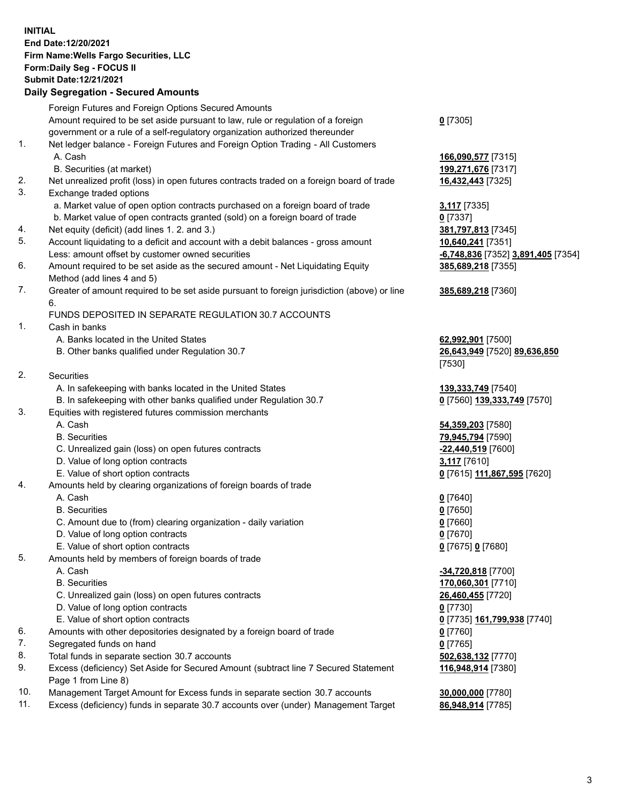**INITIAL End Date:12/20/2021 Firm Name:Wells Fargo Securities, LLC Form:Daily Seg - FOCUS II Submit Date:12/21/2021**

## **Daily Segregation - Secured Amounts**

|     | Foreign Futures and Foreign Options Secured Amounts                                         |                                                 |
|-----|---------------------------------------------------------------------------------------------|-------------------------------------------------|
|     | Amount required to be set aside pursuant to law, rule or regulation of a foreign            | $0$ [7305]                                      |
|     | government or a rule of a self-regulatory organization authorized thereunder                |                                                 |
| 1.  | Net ledger balance - Foreign Futures and Foreign Option Trading - All Customers             |                                                 |
|     | A. Cash                                                                                     | 166,090,577 [7315]                              |
|     | B. Securities (at market)                                                                   | 199,271,676 [7317]                              |
| 2.  | Net unrealized profit (loss) in open futures contracts traded on a foreign board of trade   | 16,432,443 [7325]                               |
| 3.  | Exchange traded options                                                                     |                                                 |
|     | a. Market value of open option contracts purchased on a foreign board of trade              | 3,117 [7335]                                    |
|     | b. Market value of open contracts granted (sold) on a foreign board of trade                | $0$ [7337]                                      |
| 4.  | Net equity (deficit) (add lines 1. 2. and 3.)                                               | 381,797,813 [7345]                              |
| 5.  | Account liquidating to a deficit and account with a debit balances - gross amount           | 10,640,241 [7351]                               |
|     | Less: amount offset by customer owned securities                                            | <mark>-6,748,836</mark> [7352] 3,891,405 [7354] |
| 6.  | Amount required to be set aside as the secured amount - Net Liquidating Equity              | 385,689,218 [7355]                              |
|     | Method (add lines 4 and 5)                                                                  |                                                 |
| 7.  | Greater of amount required to be set aside pursuant to foreign jurisdiction (above) or line | 385,689,218 [7360]                              |
|     | 6.                                                                                          |                                                 |
|     | FUNDS DEPOSITED IN SEPARATE REGULATION 30.7 ACCOUNTS                                        |                                                 |
| 1.  | Cash in banks                                                                               |                                                 |
|     | A. Banks located in the United States                                                       | 62,992,901 [7500]                               |
|     | B. Other banks qualified under Regulation 30.7                                              | 26,643,949 [7520] 89,636,850                    |
|     |                                                                                             | [7530]                                          |
| 2.  | Securities                                                                                  |                                                 |
|     | A. In safekeeping with banks located in the United States                                   | 139, 333, 749 [7540]                            |
|     | B. In safekeeping with other banks qualified under Regulation 30.7                          | 0 [7560] 139,333,749 [7570]                     |
| 3.  | Equities with registered futures commission merchants                                       |                                                 |
|     | A. Cash                                                                                     | 54,359,203 [7580]                               |
|     | <b>B.</b> Securities                                                                        | 79,945,794 [7590]                               |
|     | C. Unrealized gain (loss) on open futures contracts                                         | -22,440,519 [7600]                              |
|     | D. Value of long option contracts                                                           | 3,117 [7610]                                    |
|     | E. Value of short option contracts                                                          | 0 [7615] 111,867,595 [7620]                     |
| 4.  | Amounts held by clearing organizations of foreign boards of trade                           |                                                 |
|     | A. Cash                                                                                     |                                                 |
|     | <b>B.</b> Securities                                                                        | $0$ [7640]<br>$0$ [7650]                        |
|     | C. Amount due to (from) clearing organization - daily variation                             | $0$ [7660]                                      |
|     | D. Value of long option contracts                                                           | $0$ [7670]                                      |
|     | E. Value of short option contracts                                                          |                                                 |
| 5.  |                                                                                             | 0 [7675] 0 [7680]                               |
|     | Amounts held by members of foreign boards of trade<br>A. Cash                               |                                                 |
|     |                                                                                             | -34,720,818 [7700]                              |
|     | <b>B.</b> Securities                                                                        | 170,060,301 [7710]                              |
|     | C. Unrealized gain (loss) on open futures contracts                                         | 26,460,455 [7720]                               |
|     | D. Value of long option contracts                                                           | $0$ [7730]                                      |
|     | E. Value of short option contracts                                                          | <u>0</u> [7735] <u>161,799,938</u> [7740]       |
| 6.  | Amounts with other depositories designated by a foreign board of trade                      | 0 [7760]                                        |
| 7.  | Segregated funds on hand                                                                    | $0$ [7765]                                      |
| 8.  | Total funds in separate section 30.7 accounts                                               | 502,638,132 [7770]                              |
| 9.  | Excess (deficiency) Set Aside for Secured Amount (subtract line 7 Secured Statement         | 116,948,914 [7380]                              |
|     | Page 1 from Line 8)                                                                         |                                                 |
| 10. | Management Target Amount for Excess funds in separate section 30.7 accounts                 | 30,000,000 [7780]                               |

11. Excess (deficiency) funds in separate 30.7 accounts over (under) Management Target **86,948,914** [7785]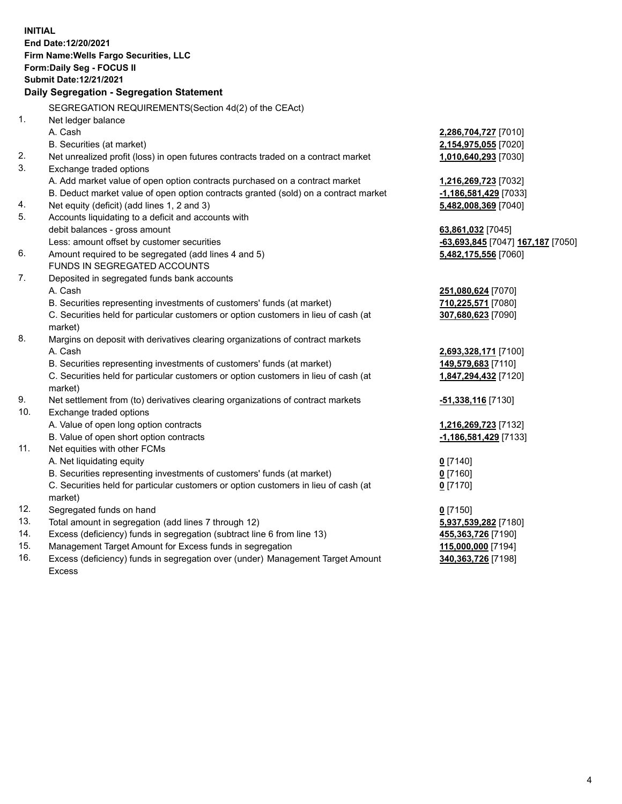**INITIAL End Date:12/20/2021 Firm Name:Wells Fargo Securities, LLC Form:Daily Seg - FOCUS II Submit Date:12/21/2021 Daily Segregation - Segregation Statement** SEGREGATION REQUIREMENTS(Section 4d(2) of the CEAct) 1. Net ledger balance A. Cash **2,286,704,727** [7010] B. Securities (at market) **2,154,975,055** [7020] 2. Net unrealized profit (loss) in open futures contracts traded on a contract market **1,010,640,293** [7030] 3. Exchange traded options A. Add market value of open option contracts purchased on a contract market **1,216,269,723** [7032] B. Deduct market value of open option contracts granted (sold) on a contract market **-1,186,581,429** [7033] 4. Net equity (deficit) (add lines 1, 2 and 3) **5,482,008,369** [7040] 5. Accounts liquidating to a deficit and accounts with debit balances - gross amount **63,861,032** [7045] Less: amount offset by customer securities **-63,693,845** [7047] **167,187** [7050] 6. Amount required to be segregated (add lines 4 and 5) **5,482,175,556** [7060] FUNDS IN SEGREGATED ACCOUNTS 7. Deposited in segregated funds bank accounts A. Cash **251,080,624** [7070] B. Securities representing investments of customers' funds (at market) **710,225,571** [7080] C. Securities held for particular customers or option customers in lieu of cash (at market) **307,680,623** [7090] 8. Margins on deposit with derivatives clearing organizations of contract markets A. Cash **2,693,328,171** [7100] B. Securities representing investments of customers' funds (at market) **149,579,683** [7110] C. Securities held for particular customers or option customers in lieu of cash (at market) **1,847,294,432** [7120] 9. Net settlement from (to) derivatives clearing organizations of contract markets **-51,338,116** [7130] 10. Exchange traded options A. Value of open long option contracts **1,216,269,723** [7132] B. Value of open short option contracts **-1,186,581,429** [7133] 11. Net equities with other FCMs A. Net liquidating equity **0** [7140] B. Securities representing investments of customers' funds (at market) **0** [7160] C. Securities held for particular customers or option customers in lieu of cash (at market) **0** [7170] 12. Segregated funds on hand **0** [7150] 13. Total amount in segregation (add lines 7 through 12) **5,937,539,282** [7180] 14. Excess (deficiency) funds in segregation (subtract line 6 from line 13) **455,363,726** [7190]

- 15. Management Target Amount for Excess funds in segregation **115,000,000** [7194]
- 16. Excess (deficiency) funds in segregation over (under) Management Target Amount Excess

**340,363,726** [7198]